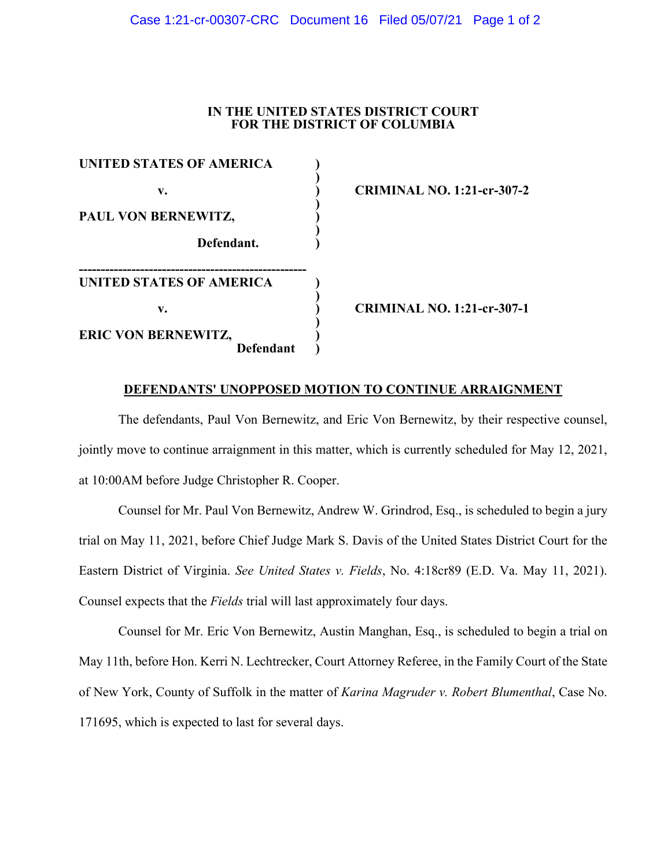## Case 1:21-cr-00307-CRC Document 16 Filed 05/07/21 Page 1 of 2

# **IN THE UNITED STATES DISTRICT COURT FOR THE DISTRICT OF COLUMBIA**

**) v. ) CRIMINAL NO. 1:21-cr-307-2**

**v. ) CRIMINAL NO. 1:21-cr-307-1**

#### **DEFENDANTS' UNOPPOSED MOTION TO CONTINUE ARRAIGNMENT**

The defendants, Paul Von Bernewitz, and Eric Von Bernewitz, by their respective counsel, jointly move to continue arraignment in this matter, which is currently scheduled for May 12, 2021, at 10:00AM before Judge Christopher R. Cooper.

Counsel for Mr. Paul Von Bernewitz, Andrew W. Grindrod, Esq., is scheduled to begin a jury trial on May 11, 2021, before Chief Judge Mark S. Davis of the United States District Court for the Eastern District of Virginia. *See United States v. Fields*, No. 4:18cr89 (E.D. Va. May 11, 2021). Counsel expects that the *Fields* trial will last approximately four days.

Counsel for Mr. Eric Von Bernewitz, Austin Manghan, Esq., is scheduled to begin a trial on May 11th, before Hon. Kerri N. Lechtrecker, Court Attorney Referee, in the Family Court of the State of New York, County of Suffolk in the matter of *Karina Magruder v. Robert Blumenthal*, Case No. 171695, which is expected to last for several days.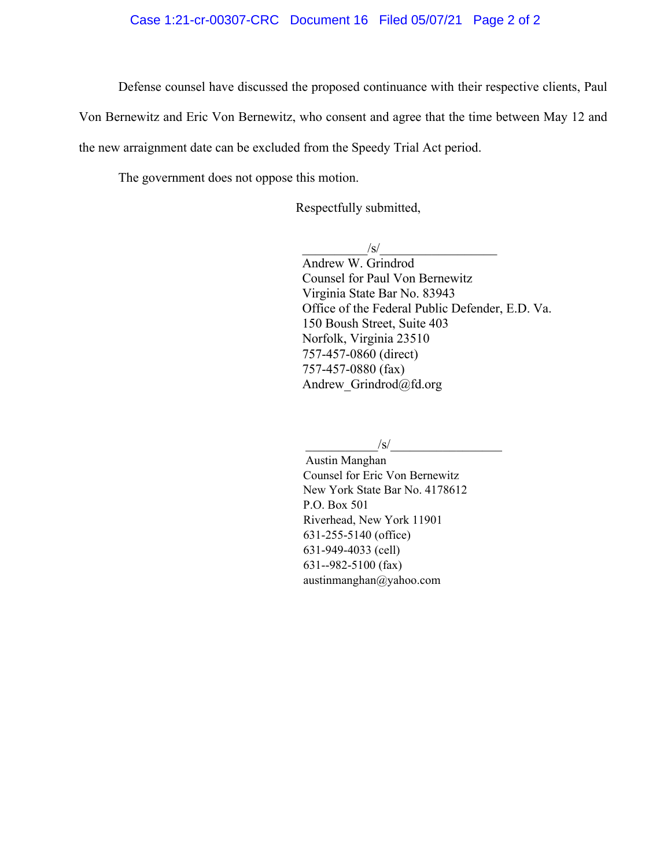## Case 1:21-cr-00307-CRC Document 16 Filed 05/07/21 Page 2 of 2

Defense counsel have discussed the proposed continuance with their respective clients, Paul

Von Bernewitz and Eric Von Bernewitz, who consent and agree that the time between May 12 and

the new arraignment date can be excluded from the Speedy Trial Act period.

The government does not oppose this motion.

Respectfully submitted,

 $\sqrt{s}/$ 

Andrew W. Grindrod Counsel for Paul Von Bernewitz Virginia State Bar No. 83943 Office of the Federal Public Defender, E.D. Va. 150 Boush Street, Suite 403 Norfolk, Virginia 23510 757-457-0860 (direct) 757-457-0880 (fax) Andrew Grindrod@fd.org

 $\sqrt{s}/$ 

 Austin Manghan Counsel for Eric Von Bernewitz New York State Bar No. 4178612 P.O. Box 501 Riverhead, New York 11901 631-255-5140 (office) 631-949-4033 (cell) 631--982-5100 (fax) austinmanghan@yahoo.com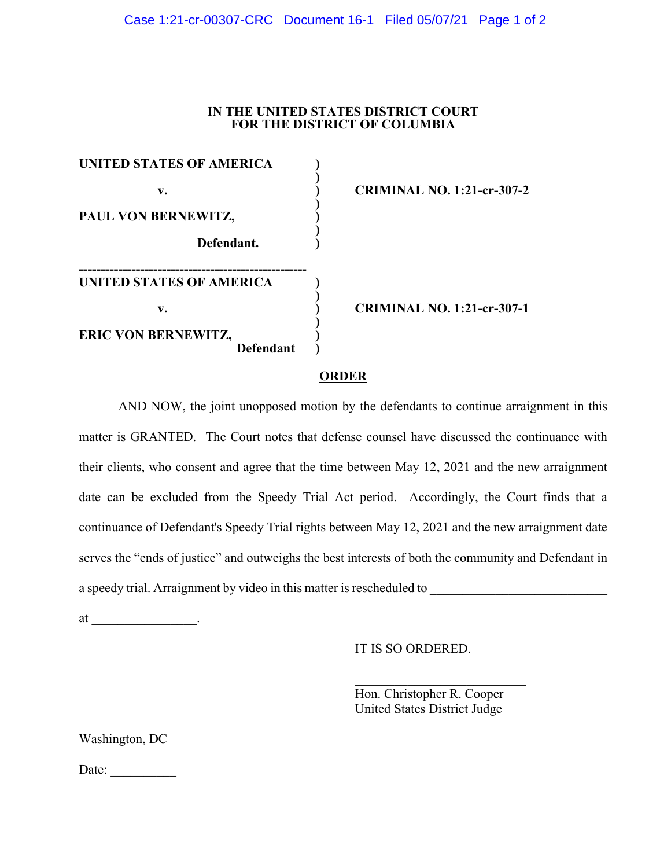# Case 1:21-cr-00307-CRC Document 16-1 Filed 05/07/21 Page 1 of 2

# **IN THE UNITED STATES DISTRICT COURT FOR THE DISTRICT OF COLUMBIA**

| UNITED STATES OF AMERICA   |  |
|----------------------------|--|
| v.                         |  |
|                            |  |
| PAUL VON BERNEWITZ,        |  |
| Defendant.                 |  |
| UNITED STATES OF AMERICA   |  |
| v.                         |  |
| <b>ERIC VON BERNEWITZ,</b> |  |
| <b>Defendant</b>           |  |

**) v. ) CRIMINAL NO. 1:21-cr-307-2**

**v. ) CRIMINAL NO. 1:21-cr-307-1**

#### **ORDER**

AND NOW, the joint unopposed motion by the defendants to continue arraignment in this matter is GRANTED. The Court notes that defense counsel have discussed the continuance with their clients, who consent and agree that the time between May 12, 2021 and the new arraignment date can be excluded from the Speedy Trial Act period. Accordingly, the Court finds that a continuance of Defendant's Speedy Trial rights between May 12, 2021 and the new arraignment date serves the "ends of justice" and outweighs the best interests of both the community and Defendant in a speedy trial. Arraignment by video in this matter is rescheduled to \_\_\_\_\_\_\_\_\_\_\_\_\_\_\_\_\_\_\_\_\_\_\_\_\_\_\_

at  $\_\_\_\_\_\_\_\_\$ .

IT IS SO ORDERED.

Hon. Christopher R. Cooper United States District Judge

Washington, DC

Date: